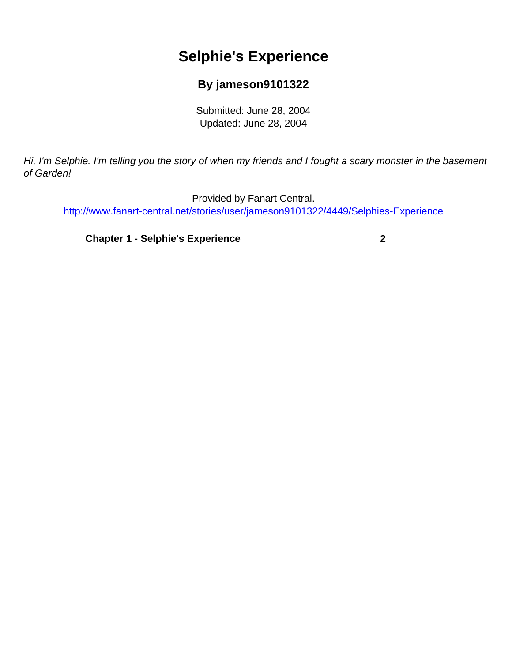# **Selphie's Experience**

### **By jameson9101322**

Submitted: June 28, 2004 Updated: June 28, 2004

<span id="page-0-0"></span>Hi, I'm Selphie. I'm telling you the story of when my friends and I fought a scary monster in the basement of Garden!

Provided by Fanart Central. [http://www.fanart-central.net/stories/user/jameson9101322/4449/Selphies-Experience](#page-0-0)

**[Chapter 1 - Selphie's Experience](#page-1-0) [2](#page-1-0)**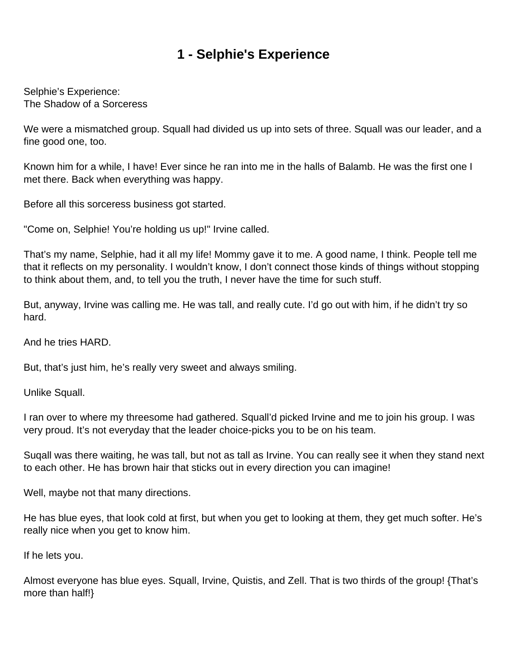## **1 - Selphie's Experience**

<span id="page-1-0"></span>Selphie's Experience: The Shadow of a Sorceress

We were a mismatched group. Squall had divided us up into sets of three. Squall was our leader, and a fine good one, too.

Known him for a while, I have! Ever since he ran into me in the halls of Balamb. He was the first one I met there. Back when everything was happy.

Before all this sorceress business got started.

"Come on, Selphie! You're holding us up!" Irvine called.

That's my name, Selphie, had it all my life! Mommy gave it to me. A good name, I think. People tell me that it reflects on my personality. I wouldn't know, I don't connect those kinds of things without stopping to think about them, and, to tell you the truth, I never have the time for such stuff.

But, anyway, Irvine was calling me. He was tall, and really cute. I'd go out with him, if he didn't try so hard.

And he tries HARD.

But, that's just him, he's really very sweet and always smiling.

Unlike Squall.

I ran over to where my threesome had gathered. Squall'd picked Irvine and me to join his group. I was very proud. It's not everyday that the leader choice-picks you to be on his team.

Suqall was there waiting, he was tall, but not as tall as Irvine. You can really see it when they stand next to each other. He has brown hair that sticks out in every direction you can imagine!

Well, maybe not that many directions.

He has blue eyes, that look cold at first, but when you get to looking at them, they get much softer. He's really nice when you get to know him.

If he lets you.

Almost everyone has blue eyes. Squall, Irvine, Quistis, and Zell. That is two thirds of the group! {That's more than half!}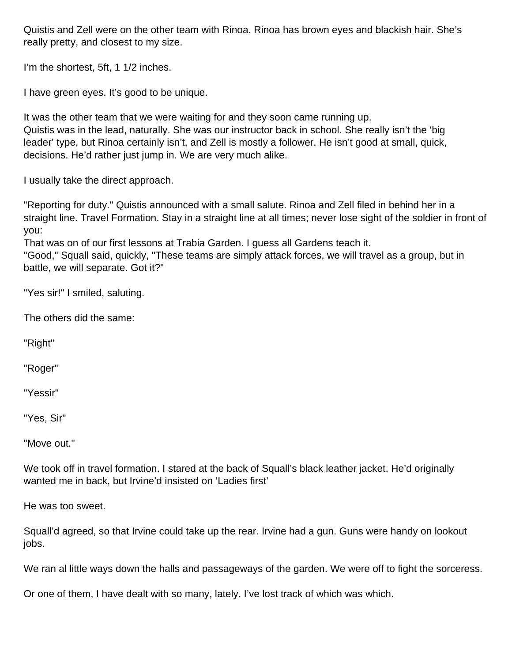Quistis and Zell were on the other team with Rinoa. Rinoa has brown eyes and blackish hair. She's really pretty, and closest to my size.

I'm the shortest, 5ft, 1 1/2 inches.

I have green eyes. It's good to be unique.

It was the other team that we were waiting for and they soon came running up. Quistis was in the lead, naturally. She was our instructor back in school. She really isn't the 'big leader' type, but Rinoa certainly isn't, and Zell is mostly a follower. He isn't good at small, quick, decisions. He'd rather just jump in. We are very much alike.

I usually take the direct approach.

"Reporting for duty." Quistis announced with a small salute. Rinoa and Zell filed in behind her in a straight line. Travel Formation. Stay in a straight line at all times; never lose sight of the soldier in front of you:

That was on of our first lessons at Trabia Garden. I guess all Gardens teach it.

"Good," Squall said, quickly, "These teams are simply attack forces, we will travel as a group, but in battle, we will separate. Got it?"

"Yes sir!" I smiled, saluting.

The others did the same:

"Right"

"Roger"

"Yessir"

"Yes, Sir"

"Move out."

We took off in travel formation. I stared at the back of Squall's black leather jacket. He'd originally wanted me in back, but Irvine'd insisted on 'Ladies first'

He was too sweet.

Squall'd agreed, so that Irvine could take up the rear. Irvine had a gun. Guns were handy on lookout jobs.

We ran al little ways down the halls and passageways of the garden. We were off to fight the sorceress.

Or one of them, I have dealt with so many, lately. I've lost track of which was which.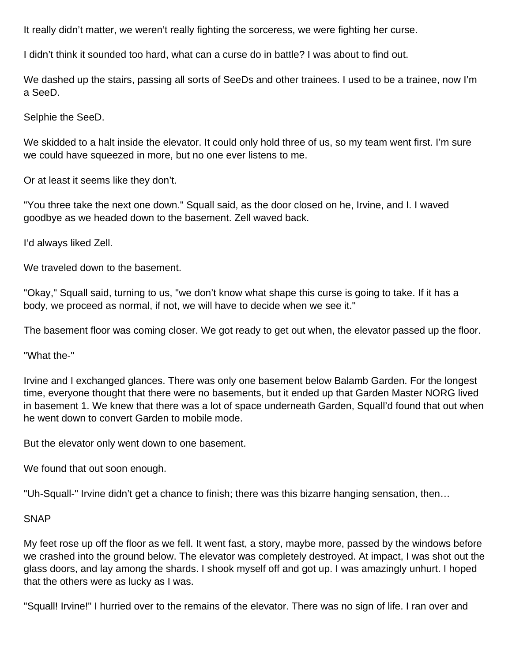It really didn't matter, we weren't really fighting the sorceress, we were fighting her curse.

I didn't think it sounded too hard, what can a curse do in battle? I was about to find out.

We dashed up the stairs, passing all sorts of SeeDs and other trainees. I used to be a trainee, now I'm a SeeD.

Selphie the SeeD.

We skidded to a halt inside the elevator. It could only hold three of us, so my team went first. I'm sure we could have squeezed in more, but no one ever listens to me.

Or at least it seems like they don't.

"You three take the next one down." Squall said, as the door closed on he, Irvine, and I. I waved goodbye as we headed down to the basement. Zell waved back.

I'd always liked Zell.

We traveled down to the basement.

"Okay," Squall said, turning to us, "we don't know what shape this curse is going to take. If it has a body, we proceed as normal, if not, we will have to decide when we see it."

The basement floor was coming closer. We got ready to get out when, the elevator passed up the floor.

"What the-"

Irvine and I exchanged glances. There was only one basement below Balamb Garden. For the longest time, everyone thought that there were no basements, but it ended up that Garden Master NORG lived in basement 1. We knew that there was a lot of space underneath Garden, Squall'd found that out when he went down to convert Garden to mobile mode.

But the elevator only went down to one basement.

We found that out soon enough.

"Uh-Squall-" Irvine didn't get a chance to finish; there was this bizarre hanging sensation, then…

#### SNAP

My feet rose up off the floor as we fell. It went fast, a story, maybe more, passed by the windows before we crashed into the ground below. The elevator was completely destroyed. At impact, I was shot out the glass doors, and lay among the shards. I shook myself off and got up. I was amazingly unhurt. I hoped that the others were as lucky as I was.

"Squall! Irvine!" I hurried over to the remains of the elevator. There was no sign of life. I ran over and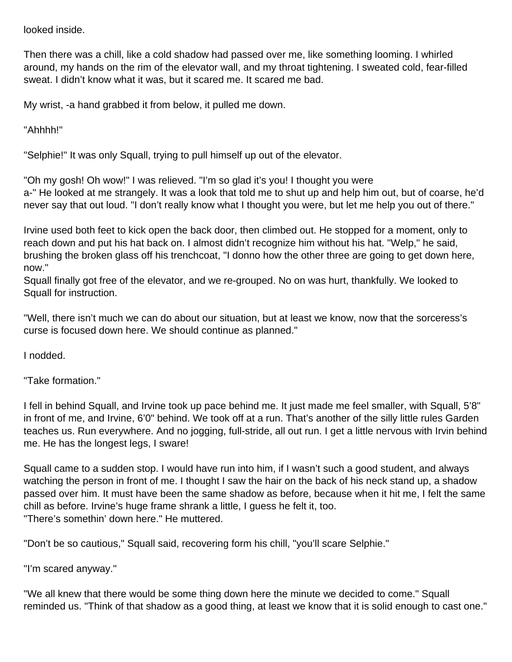looked inside.

Then there was a chill, like a cold shadow had passed over me, like something looming. I whirled around, my hands on the rim of the elevator wall, and my throat tightening. I sweated cold, fear-filled sweat. I didn't know what it was, but it scared me. It scared me bad.

My wrist, -a hand grabbed it from below, it pulled me down.

"Ahhhh!"

"Selphie!" It was only Squall, trying to pull himself up out of the elevator.

"Oh my gosh! Oh wow!" I was relieved. "I'm so glad it's you! I thought you were a-" He looked at me strangely. It was a look that told me to shut up and help him out, but of coarse, he'd never say that out loud. "I don't really know what I thought you were, but let me help you out of there."

Irvine used both feet to kick open the back door, then climbed out. He stopped for a moment, only to reach down and put his hat back on. I almost didn't recognize him without his hat. "Welp," he said, brushing the broken glass off his trenchcoat, "I donno how the other three are going to get down here, now."

Squall finally got free of the elevator, and we re-grouped. No on was hurt, thankfully. We looked to Squall for instruction.

"Well, there isn't much we can do about our situation, but at least we know, now that the sorceress's curse is focused down here. We should continue as planned."

I nodded.

"Take formation."

I fell in behind Squall, and Irvine took up pace behind me. It just made me feel smaller, with Squall, 5'8" in front of me, and Irvine, 6'0" behind. We took off at a run. That's another of the silly little rules Garden teaches us. Run everywhere. And no jogging, full-stride, all out run. I get a little nervous with Irvin behind me. He has the longest legs, I sware!

Squall came to a sudden stop. I would have run into him, if I wasn't such a good student, and always watching the person in front of me. I thought I saw the hair on the back of his neck stand up, a shadow passed over him. It must have been the same shadow as before, because when it hit me, I felt the same chill as before. Irvine's huge frame shrank a little, I guess he felt it, too. "There's somethin' down here." He muttered.

"Don't be so cautious," Squall said, recovering form his chill, "you'll scare Selphie."

"I'm scared anyway."

"We all knew that there would be some thing down here the minute we decided to come." Squall reminded us. "Think of that shadow as a good thing, at least we know that it is solid enough to cast one."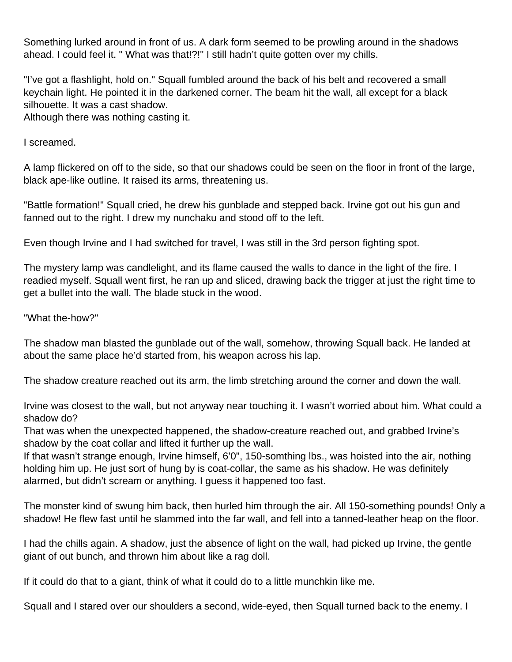Something lurked around in front of us. A dark form seemed to be prowling around in the shadows ahead. I could feel it. " What was that!?!" I still hadn't quite gotten over my chills.

"I've got a flashlight, hold on." Squall fumbled around the back of his belt and recovered a small keychain light. He pointed it in the darkened corner. The beam hit the wall, all except for a black silhouette. It was a cast shadow.

Although there was nothing casting it.

I screamed.

A lamp flickered on off to the side, so that our shadows could be seen on the floor in front of the large, black ape-like outline. It raised its arms, threatening us.

"Battle formation!" Squall cried, he drew his gunblade and stepped back. Irvine got out his gun and fanned out to the right. I drew my nunchaku and stood off to the left.

Even though Irvine and I had switched for travel, I was still in the 3rd person fighting spot.

The mystery lamp was candlelight, and its flame caused the walls to dance in the light of the fire. I readied myself. Squall went first, he ran up and sliced, drawing back the trigger at just the right time to get a bullet into the wall. The blade stuck in the wood.

"What the-how?"

The shadow man blasted the gunblade out of the wall, somehow, throwing Squall back. He landed at about the same place he'd started from, his weapon across his lap.

The shadow creature reached out its arm, the limb stretching around the corner and down the wall.

Irvine was closest to the wall, but not anyway near touching it. I wasn't worried about him. What could a shadow do?

That was when the unexpected happened, the shadow-creature reached out, and grabbed Irvine's shadow by the coat collar and lifted it further up the wall.

If that wasn't strange enough, Irvine himself, 6'0", 150-somthing lbs., was hoisted into the air, nothing holding him up. He just sort of hung by is coat-collar, the same as his shadow. He was definitely alarmed, but didn't scream or anything. I guess it happened too fast.

The monster kind of swung him back, then hurled him through the air. All 150-something pounds! Only a shadow! He flew fast until he slammed into the far wall, and fell into a tanned-leather heap on the floor.

I had the chills again. A shadow, just the absence of light on the wall, had picked up Irvine, the gentle giant of out bunch, and thrown him about like a rag doll.

If it could do that to a giant, think of what it could do to a little munchkin like me.

Squall and I stared over our shoulders a second, wide-eyed, then Squall turned back to the enemy. I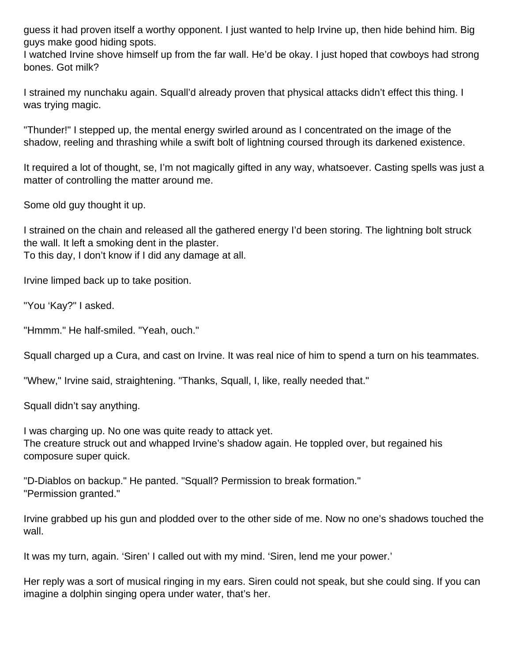guess it had proven itself a worthy opponent. I just wanted to help Irvine up, then hide behind him. Big guys make good hiding spots.

I watched Irvine shove himself up from the far wall. He'd be okay. I just hoped that cowboys had strong bones. Got milk?

I strained my nunchaku again. Squall'd already proven that physical attacks didn't effect this thing. I was trying magic.

"Thunder!" I stepped up, the mental energy swirled around as I concentrated on the image of the shadow, reeling and thrashing while a swift bolt of lightning coursed through its darkened existence.

It required a lot of thought, se, I'm not magically gifted in any way, whatsoever. Casting spells was just a matter of controlling the matter around me.

Some old guy thought it up.

I strained on the chain and released all the gathered energy I'd been storing. The lightning bolt struck the wall. It left a smoking dent in the plaster. To this day, I don't know if I did any damage at all.

Irvine limped back up to take position.

"You 'Kay?" I asked.

"Hmmm." He half-smiled. "Yeah, ouch."

Squall charged up a Cura, and cast on Irvine. It was real nice of him to spend a turn on his teammates.

"Whew," Irvine said, straightening. "Thanks, Squall, I, like, really needed that."

Squall didn't say anything.

I was charging up. No one was quite ready to attack yet. The creature struck out and whapped Irvine's shadow again. He toppled over, but regained his composure super quick.

"D-Diablos on backup." He panted. "Squall? Permission to break formation." "Permission granted."

Irvine grabbed up his gun and plodded over to the other side of me. Now no one's shadows touched the wall.

It was my turn, again. 'Siren' I called out with my mind. 'Siren, lend me your power.'

Her reply was a sort of musical ringing in my ears. Siren could not speak, but she could sing. If you can imagine a dolphin singing opera under water, that's her.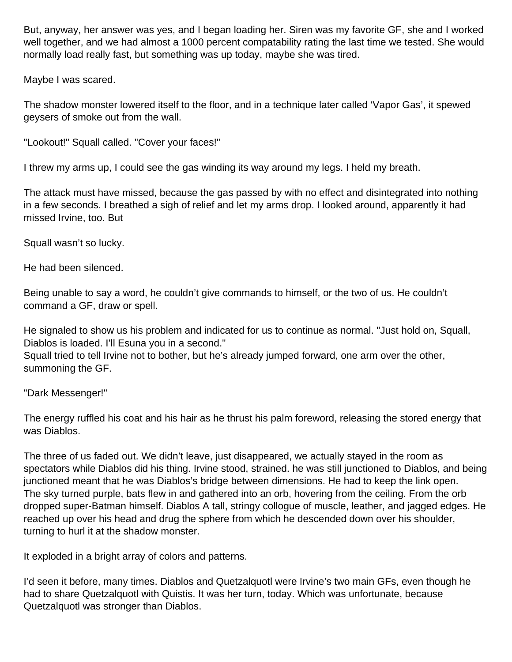But, anyway, her answer was yes, and I began loading her. Siren was my favorite GF, she and I worked well together, and we had almost a 1000 percent compatability rating the last time we tested. She would normally load really fast, but something was up today, maybe she was tired.

Maybe I was scared.

The shadow monster lowered itself to the floor, and in a technique later called 'Vapor Gas', it spewed geysers of smoke out from the wall.

"Lookout!" Squall called. "Cover your faces!"

I threw my arms up, I could see the gas winding its way around my legs. I held my breath.

The attack must have missed, because the gas passed by with no effect and disintegrated into nothing in a few seconds. I breathed a sigh of relief and let my arms drop. I looked around, apparently it had missed Irvine, too. But

Squall wasn't so lucky.

He had been silenced.

Being unable to say a word, he couldn't give commands to himself, or the two of us. He couldn't command a GF, draw or spell.

He signaled to show us his problem and indicated for us to continue as normal. "Just hold on, Squall, Diablos is loaded. I'll Esuna you in a second."

Squall tried to tell Irvine not to bother, but he's already jumped forward, one arm over the other, summoning the GF.

"Dark Messenger!"

The energy ruffled his coat and his hair as he thrust his palm foreword, releasing the stored energy that was Diablos.

The three of us faded out. We didn't leave, just disappeared, we actually stayed in the room as spectators while Diablos did his thing. Irvine stood, strained. he was still junctioned to Diablos, and being junctioned meant that he was Diablos's bridge between dimensions. He had to keep the link open. The sky turned purple, bats flew in and gathered into an orb, hovering from the ceiling. From the orb dropped super-Batman himself. Diablos A tall, stringy collogue of muscle, leather, and jagged edges. He reached up over his head and drug the sphere from which he descended down over his shoulder, turning to hurl it at the shadow monster.

It exploded in a bright array of colors and patterns.

I'd seen it before, many times. Diablos and Quetzalquotl were Irvine's two main GFs, even though he had to share Quetzalquotl with Quistis. It was her turn, today. Which was unfortunate, because Quetzalquotl was stronger than Diablos.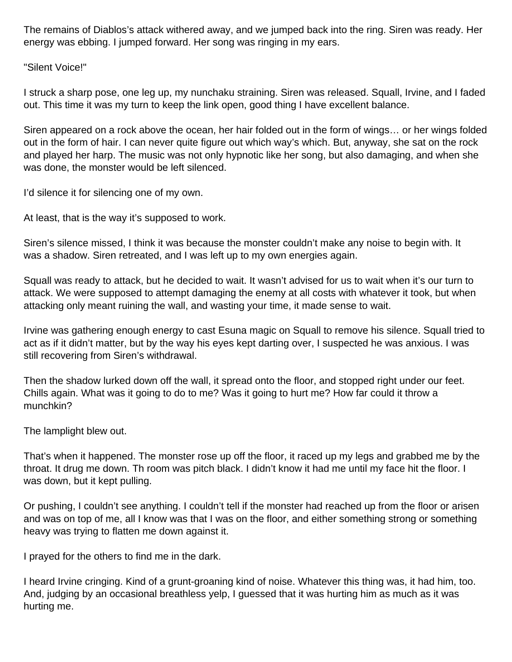The remains of Diablos's attack withered away, and we jumped back into the ring. Siren was ready. Her energy was ebbing. I jumped forward. Her song was ringing in my ears.

"Silent Voice!"

I struck a sharp pose, one leg up, my nunchaku straining. Siren was released. Squall, Irvine, and I faded out. This time it was my turn to keep the link open, good thing I have excellent balance.

Siren appeared on a rock above the ocean, her hair folded out in the form of wings… or her wings folded out in the form of hair. I can never quite figure out which way's which. But, anyway, she sat on the rock and played her harp. The music was not only hypnotic like her song, but also damaging, and when she was done, the monster would be left silenced.

I'd silence it for silencing one of my own.

At least, that is the way it's supposed to work.

Siren's silence missed, I think it was because the monster couldn't make any noise to begin with. It was a shadow. Siren retreated, and I was left up to my own energies again.

Squall was ready to attack, but he decided to wait. It wasn't advised for us to wait when it's our turn to attack. We were supposed to attempt damaging the enemy at all costs with whatever it took, but when attacking only meant ruining the wall, and wasting your time, it made sense to wait.

Irvine was gathering enough energy to cast Esuna magic on Squall to remove his silence. Squall tried to act as if it didn't matter, but by the way his eyes kept darting over, I suspected he was anxious. I was still recovering from Siren's withdrawal.

Then the shadow lurked down off the wall, it spread onto the floor, and stopped right under our feet. Chills again. What was it going to do to me? Was it going to hurt me? How far could it throw a munchkin?

The lamplight blew out.

That's when it happened. The monster rose up off the floor, it raced up my legs and grabbed me by the throat. It drug me down. Th room was pitch black. I didn't know it had me until my face hit the floor. I was down, but it kept pulling.

Or pushing, I couldn't see anything. I couldn't tell if the monster had reached up from the floor or arisen and was on top of me, all I know was that I was on the floor, and either something strong or something heavy was trying to flatten me down against it.

I prayed for the others to find me in the dark.

I heard Irvine cringing. Kind of a grunt-groaning kind of noise. Whatever this thing was, it had him, too. And, judging by an occasional breathless yelp, I guessed that it was hurting him as much as it was hurting me.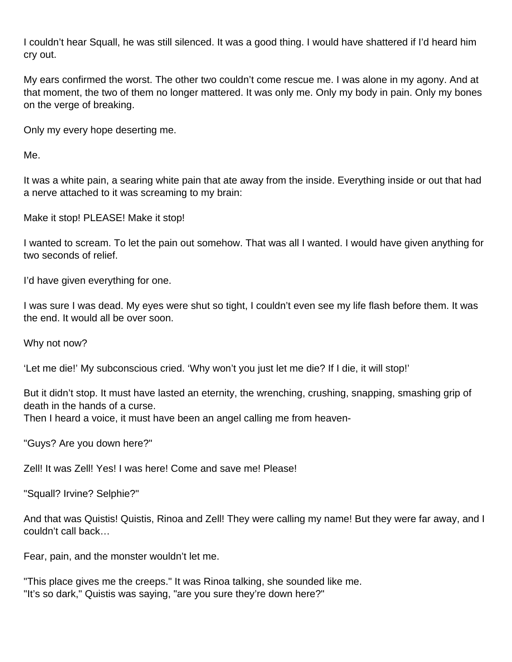I couldn't hear Squall, he was still silenced. It was a good thing. I would have shattered if I'd heard him cry out.

My ears confirmed the worst. The other two couldn't come rescue me. I was alone in my agony. And at that moment, the two of them no longer mattered. It was only me. Only my body in pain. Only my bones on the verge of breaking.

Only my every hope deserting me.

Me.

It was a white pain, a searing white pain that ate away from the inside. Everything inside or out that had a nerve attached to it was screaming to my brain:

Make it stop! PLEASE! Make it stop!

I wanted to scream. To let the pain out somehow. That was all I wanted. I would have given anything for two seconds of relief.

I'd have given everything for one.

I was sure I was dead. My eyes were shut so tight, I couldn't even see my life flash before them. It was the end. It would all be over soon.

Why not now?

'Let me die!' My subconscious cried. 'Why won't you just let me die? If I die, it will stop!'

But it didn't stop. It must have lasted an eternity, the wrenching, crushing, snapping, smashing grip of death in the hands of a curse.

Then I heard a voice, it must have been an angel calling me from heaven-

"Guys? Are you down here?"

Zell! It was Zell! Yes! I was here! Come and save me! Please!

"Squall? Irvine? Selphie?"

And that was Quistis! Quistis, Rinoa and Zell! They were calling my name! But they were far away, and I couldn't call back…

Fear, pain, and the monster wouldn't let me.

"This place gives me the creeps." It was Rinoa talking, she sounded like me. "It's so dark," Quistis was saying, "are you sure they're down here?"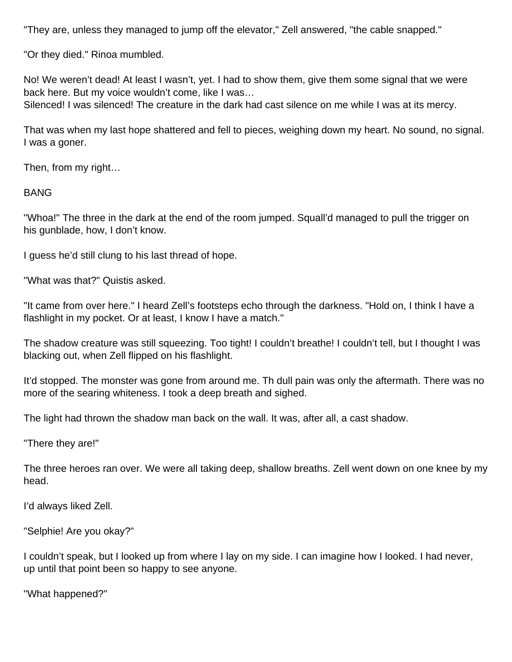"They are, unless they managed to jump off the elevator," Zell answered, "the cable snapped."

"Or they died." Rinoa mumbled.

No! We weren't dead! At least I wasn't, yet. I had to show them, give them some signal that we were back here. But my voice wouldn't come, like I was…

Silenced! I was silenced! The creature in the dark had cast silence on me while I was at its mercy.

That was when my last hope shattered and fell to pieces, weighing down my heart. No sound, no signal. I was a goner.

Then, from my right…

BANG

"Whoa!" The three in the dark at the end of the room jumped. Squall'd managed to pull the trigger on his gunblade, how, I don't know.

I guess he'd still clung to his last thread of hope.

"What was that?" Quistis asked.

"It came from over here." I heard Zell's footsteps echo through the darkness. "Hold on, I think I have a flashlight in my pocket. Or at least, I know I have a match."

The shadow creature was still squeezing. Too tight! I couldn't breathe! I couldn't tell, but I thought I was blacking out, when Zell flipped on his flashlight.

It'd stopped. The monster was gone from around me. Th dull pain was only the aftermath. There was no more of the searing whiteness. I took a deep breath and sighed.

The light had thrown the shadow man back on the wall. It was, after all, a cast shadow.

"There they are!"

The three heroes ran over. We were all taking deep, shallow breaths. Zell went down on one knee by my head.

I'd always liked Zell.

"Selphie! Are you okay?"

I couldn't speak, but I looked up from where I lay on my side. I can imagine how I looked. I had never, up until that point been so happy to see anyone.

"What happened?"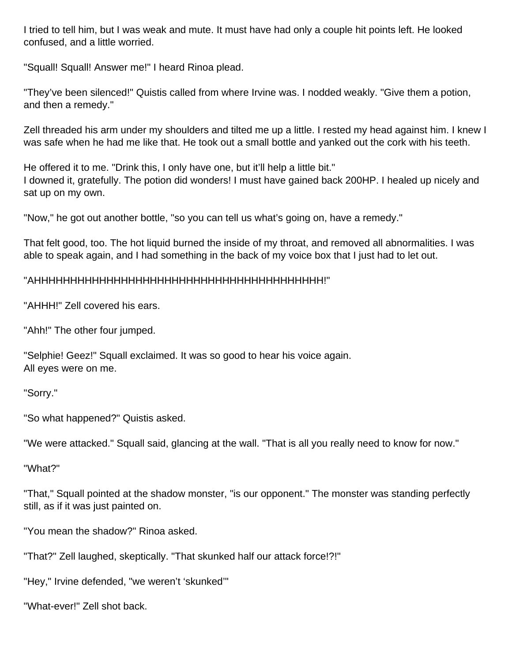I tried to tell him, but I was weak and mute. It must have had only a couple hit points left. He looked confused, and a little worried.

"Squall! Squall! Answer me!" I heard Rinoa plead.

"They've been silenced!" Quistis called from where Irvine was. I nodded weakly. "Give them a potion, and then a remedy."

Zell threaded his arm under my shoulders and tilted me up a little. I rested my head against him. I knew I was safe when he had me like that. He took out a small bottle and yanked out the cork with his teeth.

He offered it to me. "Drink this, I only have one, but it'll help a little bit." I downed it, gratefully. The potion did wonders! I must have gained back 200HP. I healed up nicely and sat up on my own.

"Now," he got out another bottle, "so you can tell us what's going on, have a remedy."

That felt good, too. The hot liquid burned the inside of my throat, and removed all abnormalities. I was able to speak again, and I had something in the back of my voice box that I just had to let out.

### "AHHHHHHHHHHHHHHHHHHHHHHHHHHHHHHHHHHHHHHHH!"

"AHHH!" Zell covered his ears.

"Ahh!" The other four jumped.

"Selphie! Geez!" Squall exclaimed. It was so good to hear his voice again. All eyes were on me.

"Sorry."

"So what happened?" Quistis asked.

"We were attacked." Squall said, glancing at the wall. "That is all you really need to know for now."

"What?"

"That," Squall pointed at the shadow monster, "is our opponent." The monster was standing perfectly still, as if it was just painted on.

"You mean the shadow?" Rinoa asked.

"That?" Zell laughed, skeptically. "That skunked half our attack force!?!"

"Hey," Irvine defended, "we weren't 'skunked'"

"What-ever!" Zell shot back.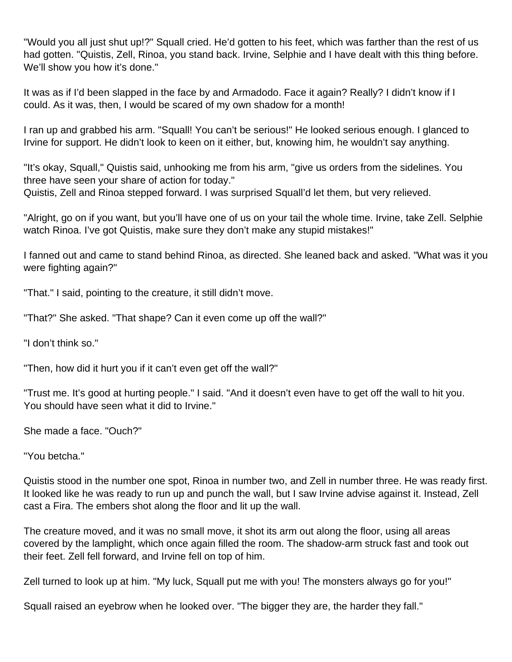"Would you all just shut up!?" Squall cried. He'd gotten to his feet, which was farther than the rest of us had gotten. "Quistis, Zell, Rinoa, you stand back. Irvine, Selphie and I have dealt with this thing before. We'll show you how it's done."

It was as if I'd been slapped in the face by and Armadodo. Face it again? Really? I didn't know if I could. As it was, then, I would be scared of my own shadow for a month!

I ran up and grabbed his arm. "Squall! You can't be serious!" He looked serious enough. I glanced to Irvine for support. He didn't look to keen on it either, but, knowing him, he wouldn't say anything.

"It's okay, Squall," Quistis said, unhooking me from his arm, "give us orders from the sidelines. You three have seen your share of action for today." Quistis, Zell and Rinoa stepped forward. I was surprised Squall'd let them, but very relieved.

"Alright, go on if you want, but you'll have one of us on your tail the whole time. Irvine, take Zell. Selphie watch Rinoa. I've got Quistis, make sure they don't make any stupid mistakes!"

I fanned out and came to stand behind Rinoa, as directed. She leaned back and asked. "What was it you were fighting again?"

"That." I said, pointing to the creature, it still didn't move.

"That?" She asked. "That shape? Can it even come up off the wall?"

"I don't think so."

"Then, how did it hurt you if it can't even get off the wall?"

"Trust me. It's good at hurting people." I said. "And it doesn't even have to get off the wall to hit you. You should have seen what it did to Irvine."

She made a face. "Ouch?"

"You betcha."

Quistis stood in the number one spot, Rinoa in number two, and Zell in number three. He was ready first. It looked like he was ready to run up and punch the wall, but I saw Irvine advise against it. Instead, Zell cast a Fira. The embers shot along the floor and lit up the wall.

The creature moved, and it was no small move, it shot its arm out along the floor, using all areas covered by the lamplight, which once again filled the room. The shadow-arm struck fast and took out their feet. Zell fell forward, and Irvine fell on top of him.

Zell turned to look up at him. "My luck, Squall put me with you! The monsters always go for you!"

Squall raised an eyebrow when he looked over. "The bigger they are, the harder they fall."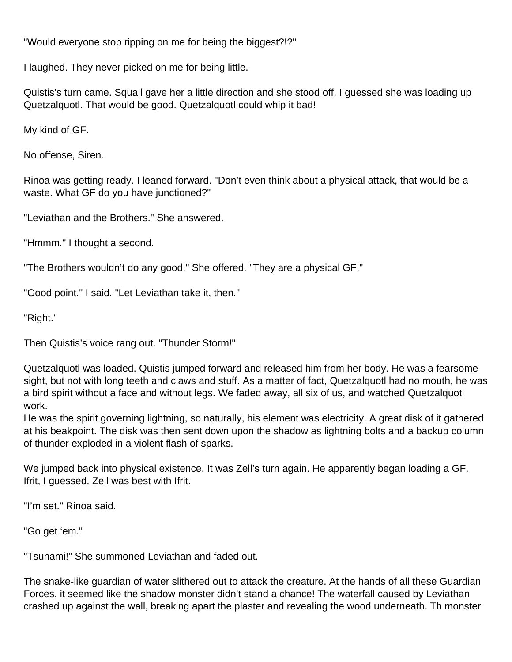"Would everyone stop ripping on me for being the biggest?!?"

I laughed. They never picked on me for being little.

Quistis's turn came. Squall gave her a little direction and she stood off. I guessed she was loading up Quetzalquotl. That would be good. Quetzalquotl could whip it bad!

My kind of GF.

No offense, Siren.

Rinoa was getting ready. I leaned forward. "Don't even think about a physical attack, that would be a waste. What GF do you have junctioned?"

"Leviathan and the Brothers." She answered.

"Hmmm." I thought a second.

"The Brothers wouldn't do any good." She offered. "They are a physical GF."

"Good point." I said. "Let Leviathan take it, then."

"Right."

Then Quistis's voice rang out. "Thunder Storm!"

Quetzalquotl was loaded. Quistis jumped forward and released him from her body. He was a fearsome sight, but not with long teeth and claws and stuff. As a matter of fact, Quetzalquotl had no mouth, he was a bird spirit without a face and without legs. We faded away, all six of us, and watched Quetzalquotl work.

He was the spirit governing lightning, so naturally, his element was electricity. A great disk of it gathered at his beakpoint. The disk was then sent down upon the shadow as lightning bolts and a backup column of thunder exploded in a violent flash of sparks.

We jumped back into physical existence. It was Zell's turn again. He apparently began loading a GF. Ifrit, I guessed. Zell was best with Ifrit.

"I'm set." Rinoa said.

"Go get 'em."

"Tsunami!" She summoned Leviathan and faded out.

The snake-like guardian of water slithered out to attack the creature. At the hands of all these Guardian Forces, it seemed like the shadow monster didn't stand a chance! The waterfall caused by Leviathan crashed up against the wall, breaking apart the plaster and revealing the wood underneath. Th monster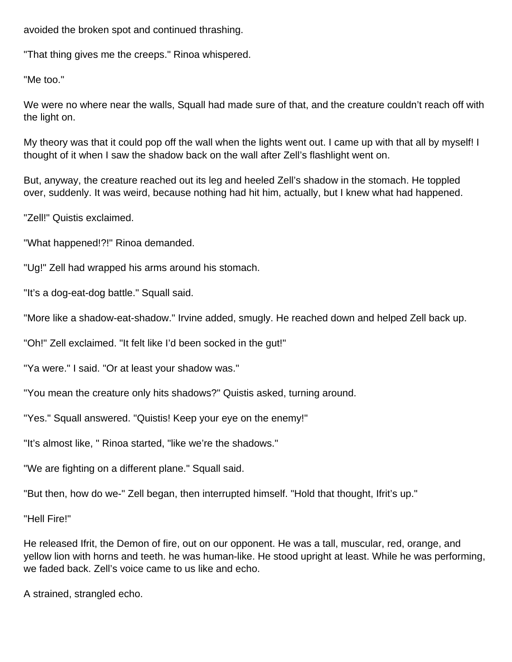avoided the broken spot and continued thrashing.

"That thing gives me the creeps." Rinoa whispered.

"Me too."

We were no where near the walls, Squall had made sure of that, and the creature couldn't reach off with the light on.

My theory was that it could pop off the wall when the lights went out. I came up with that all by myself! I thought of it when I saw the shadow back on the wall after Zell's flashlight went on.

But, anyway, the creature reached out its leg and heeled Zell's shadow in the stomach. He toppled over, suddenly. It was weird, because nothing had hit him, actually, but I knew what had happened.

"Zell!" Quistis exclaimed.

"What happened!?!" Rinoa demanded.

"Ug!" Zell had wrapped his arms around his stomach.

"It's a dog-eat-dog battle." Squall said.

"More like a shadow-eat-shadow." Irvine added, smugly. He reached down and helped Zell back up.

"Oh!" Zell exclaimed. "It felt like I'd been socked in the gut!"

"Ya were." I said. "Or at least your shadow was."

"You mean the creature only hits shadows?" Quistis asked, turning around.

"Yes." Squall answered. "Quistis! Keep your eye on the enemy!"

"It's almost like, " Rinoa started, "like we're the shadows."

"We are fighting on a different plane." Squall said.

"But then, how do we-" Zell began, then interrupted himself. "Hold that thought, Ifrit's up."

"Hell Fire!"

He released Ifrit, the Demon of fire, out on our opponent. He was a tall, muscular, red, orange, and yellow lion with horns and teeth. he was human-like. He stood upright at least. While he was performing, we faded back. Zell's voice came to us like and echo.

A strained, strangled echo.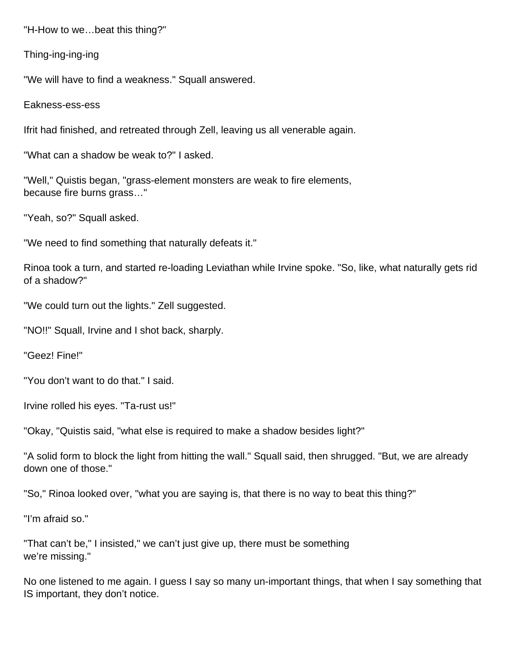"H-How to we…beat this thing?"

Thing-ing-ing-ing

"We will have to find a weakness." Squall answered.

Eakness-ess-ess

Ifrit had finished, and retreated through Zell, leaving us all venerable again.

"What can a shadow be weak to?" I asked.

"Well," Quistis began, "grass-element monsters are weak to fire elements, because fire burns grass…"

"Yeah, so?" Squall asked.

"We need to find something that naturally defeats it."

Rinoa took a turn, and started re-loading Leviathan while Irvine spoke. "So, like, what naturally gets rid of a shadow?"

"We could turn out the lights." Zell suggested.

"NO!!" Squall, Irvine and I shot back, sharply.

"Geez! Fine!"

"You don't want to do that." I said.

Irvine rolled his eyes. "Ta-rust us!"

"Okay, "Quistis said, "what else is required to make a shadow besides light?"

"A solid form to block the light from hitting the wall." Squall said, then shrugged. "But, we are already down one of those."

"So," Rinoa looked over, "what you are saying is, that there is no way to beat this thing?"

"I'm afraid so."

"That can't be," I insisted," we can't just give up, there must be something we're missing."

No one listened to me again. I guess I say so many un-important things, that when I say something that IS important, they don't notice.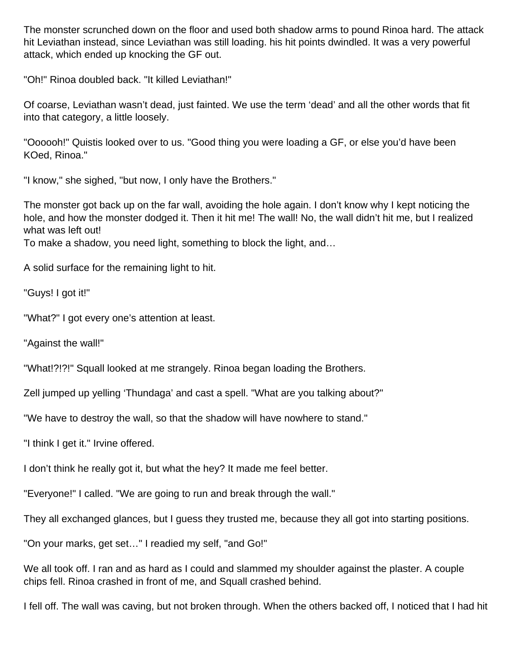The monster scrunched down on the floor and used both shadow arms to pound Rinoa hard. The attack hit Leviathan instead, since Leviathan was still loading. his hit points dwindled. It was a very powerful attack, which ended up knocking the GF out.

"Oh!" Rinoa doubled back. "It killed Leviathan!"

Of coarse, Leviathan wasn't dead, just fainted. We use the term 'dead' and all the other words that fit into that category, a little loosely.

"Oooooh!" Quistis looked over to us. "Good thing you were loading a GF, or else you'd have been KOed, Rinoa."

"I know," she sighed, "but now, I only have the Brothers."

The monster got back up on the far wall, avoiding the hole again. I don't know why I kept noticing the hole, and how the monster dodged it. Then it hit me! The wall! No, the wall didn't hit me, but I realized what was left out!

To make a shadow, you need light, something to block the light, and…

A solid surface for the remaining light to hit.

"Guys! I got it!"

"What?" I got every one's attention at least.

"Against the wall!"

"What!?!?!" Squall looked at me strangely. Rinoa began loading the Brothers.

Zell jumped up yelling 'Thundaga' and cast a spell. "What are you talking about?"

"We have to destroy the wall, so that the shadow will have nowhere to stand."

"I think I get it." Irvine offered.

I don't think he really got it, but what the hey? It made me feel better.

"Everyone!" I called. "We are going to run and break through the wall."

They all exchanged glances, but I guess they trusted me, because they all got into starting positions.

"On your marks, get set…" I readied my self, "and Go!"

We all took off. I ran and as hard as I could and slammed my shoulder against the plaster. A couple chips fell. Rinoa crashed in front of me, and Squall crashed behind.

I fell off. The wall was caving, but not broken through. When the others backed off, I noticed that I had hit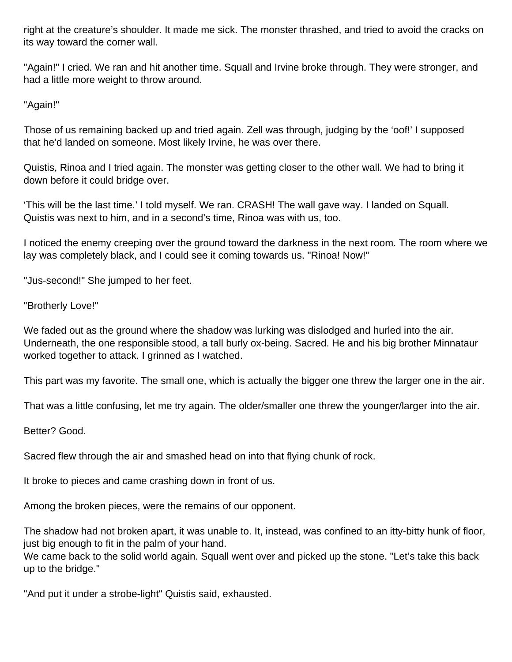right at the creature's shoulder. It made me sick. The monster thrashed, and tried to avoid the cracks on its way toward the corner wall.

"Again!" I cried. We ran and hit another time. Squall and Irvine broke through. They were stronger, and had a little more weight to throw around.

"Again!"

Those of us remaining backed up and tried again. Zell was through, judging by the 'oof!' I supposed that he'd landed on someone. Most likely Irvine, he was over there.

Quistis, Rinoa and I tried again. The monster was getting closer to the other wall. We had to bring it down before it could bridge over.

'This will be the last time.' I told myself. We ran. CRASH! The wall gave way. I landed on Squall. Quistis was next to him, and in a second's time, Rinoa was with us, too.

I noticed the enemy creeping over the ground toward the darkness in the next room. The room where we lay was completely black, and I could see it coming towards us. "Rinoa! Now!"

"Jus-second!" She jumped to her feet.

"Brotherly Love!"

We faded out as the ground where the shadow was lurking was dislodged and hurled into the air. Underneath, the one responsible stood, a tall burly ox-being. Sacred. He and his big brother Minnataur worked together to attack. I grinned as I watched.

This part was my favorite. The small one, which is actually the bigger one threw the larger one in the air.

That was a little confusing, let me try again. The older/smaller one threw the younger/larger into the air.

Better? Good.

Sacred flew through the air and smashed head on into that flying chunk of rock.

It broke to pieces and came crashing down in front of us.

Among the broken pieces, were the remains of our opponent.

The shadow had not broken apart, it was unable to. It, instead, was confined to an itty-bitty hunk of floor, just big enough to fit in the palm of your hand.

We came back to the solid world again. Squall went over and picked up the stone. "Let's take this back up to the bridge."

"And put it under a strobe-light" Quistis said, exhausted.